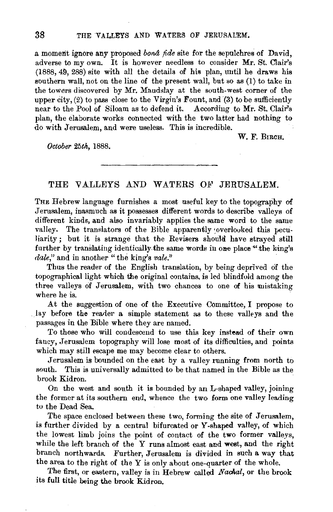a moment ignore any proposed *bond* fide site for the sepulchres of David. adverse to my own. It is however needless to consider Mr. St. Clair's (1888, 49, 288) site with all the details of his plan, until he draws his southern wall, not on the line of the present wall, but so as (1) to take in the towers discovered by Mr. Maudslay at the south-west corner of the upper city, (2) to pass close to the Virgin's Fount, and (3) to be sufficiently near to the Pool of Siloam as to defend it. According to Mr. St. Clair's plan, the elaborate works connected with the two latter had nothing to do with Jerusalem, and were useless. This is incredible.

W. F. BIRCH.

*October 25th,* 1888.

## THE VALLEYS AND WATERS OF JERUSALEM.

THE Hebrew language furnishes a most useful key to the topography of Jerusalem, inasmuch as it possesses different words to describe valleys of different kinds, and also invariably applies the same word to the same valley. The translators of the Bible apparently overlooked this peculiarity; but it is strange that the Revisers should have strayed still further by translating identically the same words in one place  $4$  the king's *dale,"* and in another " the king's *vale."* 

Thus the reader of the English translation, by being deprived of the topographical light which the original contains, is led blindfold among the three valleys of Jerusalem, with two chances to one of his mistaking where he is.

At the suggestion of one of the Executive Committee, I propose to lay before the reader a simple statement as to these valleys and the passages in the Bible where they are named.

To those who will condescend to use this key instead of their own fancy, Jerusalem topography will lose most of its difficulties, and points which may still escape me may become clear to others.

Jerusalem is bounded on the east by a valley running from north to south. This is universally admitted to be that named in the Bible as the brook Kidron.

On the west and south it is bounded by an L-shaped valley, joining the former at its southern end, whence the two form one valley leading to the Dead Sea.

The space enclosed between these two, forming the site of Jerusalem, is further divided by a central bifurcated or Y-shaped valley, of which the lowest limb joins the point of contact of the two former valleys, while the left branch of the Y runs almost east and west, and the right branch northwards. Further, Jerusalem is divided in such a way that the area to the right of the  $Y$  is only about one-quarter of the whole.

The first, or eastern, valley is in Hebrew called *Nachal*, or the brook its full title being the brook Kidron.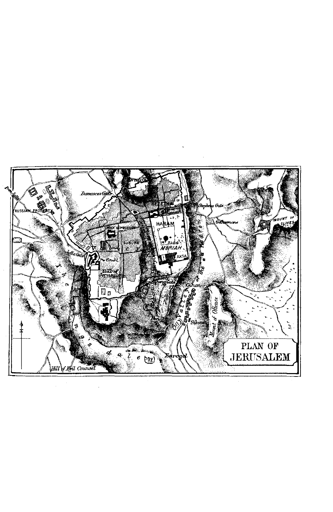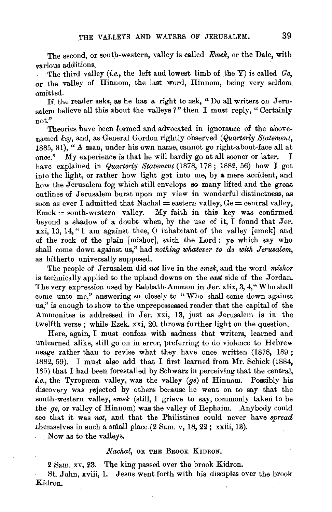The second, or south-western, valley is called *Emek*, or the Dale, with various additions,

. The third valley *(i.e., the left and lowest limb of the Y)* is called  $Ge$ . or the valley of Hinnom, the last word, Hinnom, being very seldom omitted.

If the reader asks, as he has a right to ask, "Do all writers on Jerusalem believe all this about the valleys *1"* then I must reply, " Certainly not."

Theories have been formed and advocated in ignorance of the abovenamed *key,* and, as General Gordon rightly observed *(Quarterly Statement,*  1885, 81), "A man, under his own name, cannot go right-about-face all at once." My experience is that he will hardly go at all sooner or later. I have explained in *Quarterly Statement* (1878, 178 ; 1882, 56) how I got into the light, or rather how light got into me, by a mere accident, and how the Jerusalem fog which still envelops so many lifted and the great outlines of Jerusalem burst upon my view in wonderful distinctness, as soon as ever I admitted that  $\text{Nachal} = \text{eastern value}$ ,  $\text{Ge} = \text{central value}$ ,  $E$ mek = south-western valley. My faith in this key was confirmed beyond a shadow of a doubt when, by the use of it, I found that Jer. xxi, 13, 14," I am against thee, 0 inhabitant of the valley [emek] and of the rock of the plain [ mishot], saith the Lord: ye which say who shall come down against us," had *nothing whatever to do with Jerusalem*, as hitherto universally supposed.

The people of Jerusalem did *not* live in the *emek,* and the word *mishor*  is technically applied to the upland downs on the *east* side of the Jordan. The very expression used by Rabbath-Ammon in Jer. xlix, 3, 4," Who shall come unto me," answering so closely to " Who shall come down against us," is enough to show to the unprepossessed reader that the capital of the Ammonites is addressed in Jer. xxi, 13, just as Jerusalem is in the twelfth verse ; while Ezek. xxi, 20, throws further light on the question.

Here, again, I must confess with sadness that writers, learned and unlearned alike, still go on in error, preferring to do violence to Hebrew usage rather than to revise what they have once written (1878, 189 ; 1882, 59). I must also add that I first learned from Mr. Schick (1884, 185) that I had been forestalled by Schwarz in perceiving that the central, *i.e.,* the Tyropceon valley, was the valley *(ge)* of Hinnom. Possibly his discovery was rejected by others because he went on to say that the south-western valley, *emek* (still, I grieve to say, commonly taken to be the *ge,* or valley of Hinnom) was the valley of Rephaim. Anybody could see that it was *not,* and that the Philistines could never have *spread*  themselves in such a small place  $(2 \text{ Sam. v}, 18, 22; xxiii, 13)$ .

Now as to the valleys.

## *Nachal,* OR THE BROOK KIDRON.

2 Sam. xv, 23. The king passed over the brook Kidron.

St. John, xviii, l. Jesus went forth with his disciples over the brook Kidron.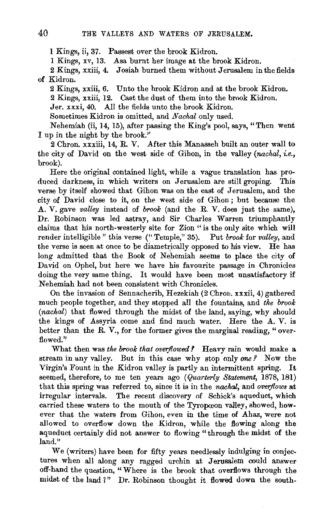1 Kings, ii, 37. Passest over the brook Kidron.

1 Kings, xv, 13. Asa burnt her image at the brook Kidron.

2 Kings, xxiii, 4. Josiah burned them without Jerusalem in the fields of Kidron.

2 Kings, xxiii, 6. Unto the brook Kidron and at the brook Kidron. 2 Kings, xxiii, 12. Cast the dust of them into the brook Kidron. Jer. xxxi, 40. All the fields unto the brook Kidron.

Sometimes Kidron is omitted, and *Nachal* only used.

Nehemiah (ii, 14, 15), after passing the King's pool, says, "Then went I up in the night by the brook."

2 Chron. xxxiii, 14, R. V. After this Manasseh built an outer wall to the city of David on the west side of Gihon, in the valley *(nachal, i.e.,*  brook).

Here the original contained light, while a vague translation has produced darkness, in which writers on Jerusalem are still groping. This verse by itself showed that Gihon was on the east of Jerusalem, and the city of David close to it, on the west side of Gihon ; but because the A. V. gave *valley* instead of *brook* (and the R. V. does just the same), Dr. Robinson was led astray, and Sir Charles Warren triumphantly claims that his north-westerly site for Zion "is the only site which will render intelligible" this verse ("Temple," 35). Put *brook* for *valley,* and the verse is seen at once to be diametrically opposed to his view. He has long admitted that the Book of Nehemiah seems to place the city of David on Ophel, but here we have his favourite passage in Chronicles doing the very same thing. It would have been most unsatisfactory if Nehemiah had not been consistent with Chronicles.

On the invasion of Sennacherib, Hezekiah (2 Chron. xxxii, 4) gathered much people together, and they stopped all the fountains, and *the brook (nachal)* that flowed through the midst of the land, saying, why should the kings of Assyria come and find much water. Here the A. V. is better than the R. V., for the former gives the marginal reading, " overflowed."

What then was *the brook that overflowed* ? Heavy rain would make a stream in any valley. But in this case why stop only one? Now the Virgin's Fount in the Kidron valley is partly an intermittent spring. It seemed, therefore, to me ten years ago *(Quarterly Statement,* 1878, 181) that this spring was referred to, since it is in the *nachal*, and *overflows* at irregular intervals. The recent discovery of Schick's aqueduct, which carried these waters to the mouth of the Tyropoeon valley, showed, however that the waters from Gihon, even in the time of Ahaz, were not allowed to overflow down the Kidron, while the flowing along the aqueduct certainly did not answer to flowing "through the midst of the land."

We (writers) have been for fifty years needlessly indulging in conjectures when all along any ragged urchin at Jerusalem could answer off-hand the question, "Where is the brook that overflows through the midst of the land *1"* Dr. Robinson thought it flowed down the south-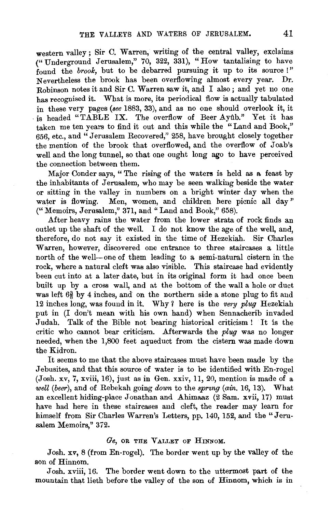western valley : Sir C. Warren, writing of the central valley, exclaims ("Underground Jerusalem," 70, 322, 331), "How tantalising to have found the *brook*, but to be debarred pursuing it up to its source!" Nevertheless the brook has been overflowing almost every year. Dr. Robinson notes it and Sir C. Warren saw it, and I also ; and yet no one has recognised it. What is more, its periodical flow is actually tabulated in these very pages *(see* 1883, 33), and as no one should overlook it, it is headed "TABLE IX. The overflow of Beer Ayub." Yet it has taken me ten years to find it out and this while the "Land and Book," 656, etc., and" Jerusalem Recovered," 258, have brought closely together the mention of the brook that overflowed, and the overflow of Joab's well and the long tunnel, so that one ought long ago to have perceived the connection between them.

Major Conder says, "The rising of the waters is held as a feast by the inhabitants of Jerusalem, who may be seen walking beside the water or sitting in the valley in numbers on a bright winter day when the water is flowing. Men, women, and children here picnic all day" ("Memoirs, Jerusalem," 371, and "Land and Book," 658).

After heavy rains the water from the lower strata of rock finds an outlet up the shaft of the well. I do not know the age of the well, and, therefore, do not say it existed in the time of Hezekiah. Sir Charles Warren, however, discovered one entrance to three staircases a little north of the well-one of them leading to a semi-natural cistern in the rock, where a natural cleft was also visible. This staircase had evidently been cut into at a later date, but in its original form it had once been built up by a cross wall, and at the bottom of the wall a hole or duct was left  $6\frac{3}{5}$  by 4 inches, and on the northern side a stone plug to fit and 12 inches long, was found in it. Why ? here is the very plug Hezekiah put in (I don't mean with his own hand) when Sennacherib invaded Judah. Talk of the Bible not bearing historical criticism ! It is the critic who cannot bear criticism. Afterwards the *plug* was no longer needed, when the 1,800 feet aqueduct from the cistern was made down the Kidron.

It seems to me that the above staircases must have been made by the Jebusites, and that this source of water is to be identified with En-rogel (Josh. xv, 7, xviii, 16), just as in Gen. xxiv, 11, 20, mention is made of a *well (beer),* and of Rebekah going *down* to the *spnng (ain.* 16, 13). What an excellent hiding-place Jonathan and Ahimaaz (2 Sam. xvii, 17) must have had here in these staircases and cleft, the reader may learn for himself from Sir Charles Warren's Letters, pp. 140, 152, and the "Jerusalem Memoirs," 372.

## Ge, OR THE VALLEY OF HINNOM.

Josh. xv, 8 (from En-rogel). The border went up by the valley of the son of Hinnom.

Josh. xviii, 16. The border went down to the uttermost part of the mountain that lieth before the valley of the son of Hinnom, which is in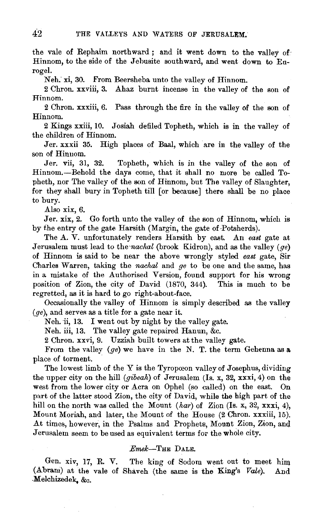the vale of Rephaim northward; and it went down to the valley of Hinnom, to the side of the Jehusite southward, and went down to Enrogel.

Neh. xi, 30. From Beersheba unto the valley of Hinnom.

2 Chron. xxviii, 3. Ahaz burnt incense in the valley of the son of Hinnom.

2 Chron. xxxiii, 6. Pass through the fire in the valley of the son of Hinnom.

2 Kings xxiii, 10. Josiah defiled Topheth, which is in the valley of the children of Hinnom.

Jer. xxxii 35. High places of Baal, which are in the valley of the son of Hinnom.

Jer. vii, 31, 32. Topheth, which is in the valley of the son of Hinnom.-Behold the days come, that it shall no more be called Topheth, nor The valley of the son of Hinnom, but The valley of Slaughter, for they shall bury in Topheth till for because] there shall be no place to bury.

Also xix, 6.

Jer. xix, 2. Go forth unto the valley of the son of Hinnom, which is by f.he entry of the gate Harsith (Margin, the gate of-Potsherds).

The A. V. unfortunately renders Harsith by east. An east gate at Jerusalem must lead to the *nachal* (brook Kidron), and as the valley *(qe)* of Hinnom is said to be near the above wrongly styled *east* gate, Sir Charles Warren, taking the *nachal* and *ge* to be one and the same, has in a mistake of the Authorised Version, found support for his wrong position of Zion, the city of David (1870, 344). This is much to be regretted, as it is hard to go right-about-face.

Occasionally the valley of Hinnom is simply described as the valley  $(qe)$ , and serves as a title for a gate near it.

Neh. ii, 13. I went out by night by the valley gate.

Neh. iii, 13. The valley gate repaired Hanun, &c.

2 Chron. xxvi, 9. Uzziah built towers at the valley gate.

From the valley *(ge)* we have in the N. T. the term Gehenna as a. place of torment.

The lowest limb of the Y is the Tyropceon valley of Josephus, dividing the upper city on the hill *(gibeah)* of Jerusalem (Is. x, 32, xxxi, 4) on the west from the lower city or Acra on Ophel (so called) on the east. On part of the latter stood Zion, the city of David, while the high part of the hill on the north was called the Mount *(har)* of Zion *(Is. x, 32, xxxi, 4)*, Mount Moriah, and later, the Mount of the House (2 Chron. xxxiii, 15). At times, however, in the Psalms and Prophets, Mount Zion, Zion, and Jerusalem seem to be used as equivalent terms for the whole city.

## *Emek-THE* DaLE.

Gen. xiv, 17, R. V. The king of Sodom went out to meet him (Abram) at the vale of Shaveh (the same is the King's *Vale).* And -Melchizedek; &c.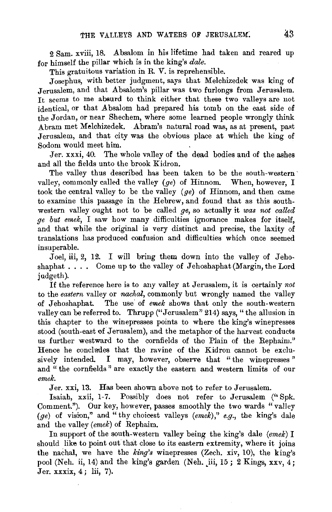2 Sam. xviii, 18. Absalom in his lifetime had taken and reared up for himself the pillar which is in the king's *dale.* 

This gratuitous variation in R. V. is reprehensible.

Josephus, with better judgment, says that Melchizedek was king of Jerusalem, and that Absalom's pillar was two furlongs from Jerusalem. It seems to me absurd to think either that these two valleys are not identical, or that Absalom had prepared his tomb on the east side of the Jordan, or near Shechem, where some learned people wrongly think Abram met Melchizedek. Abram's natural road was, as at present, past Jerusalem, and that city was the obvious place at which the king of Sodom would meet him.

Jer. xxxi, 40. The whole valley of the dead bodies and of the ashes and all the fields unto the brook Kidron.

The valley thus described has been taken to be the south-western· valley, commonly called the valley *(ge)* of Hinnom. When, however, I took the central valley to be the valley *(ge)* of Hinnom, and then came to examine this passage in the Hebrew, and found that as this southwestern valley ought not to be called *ge,* so actually it *was not called ge but emek,* I saw how many difficulties ignorance makes for itself, and that while the original is very distinct and precise, the laxity of translations has produced confusion and difficulties which once seemed insuperable.

Joel, iii, 2, 12. I will bring them down into the valley of Jehoshaphat  $\ldots$  . Come up to the valley of Jehoshaphat (Margin, the Lord judgeth).

If the reference here is to any valley at Jerusalem, it is certainly *not*  to the *eastern* valley or *nachal,* commonly but wrongly named the valley of Jehoshaphat. The use of *emek* shows that only the south-western valley can be referred to. Thrupp ("Jerusalem" 214) says, "the allusion in this chapter to the winepresses points to where the king's winepresses stood (south-east of Jerusalem), and the metaphor of the harvest conducts us further westward to the cornfields of the Plain of the Rephaim." Hence he concludes that the ravine of the Kidron cannot be exclusively intended. I may, however, observe that "the winepresses" and " the cornfields " are exactly the eastern and western limits of our *emek.* 

Jer. xxi, 13. Has been shown above not to refer to Jerusalem.

Isaiah, xxii, 1-7. Possibly does not refer to Jerusalem (" Spk. Comment."). Our key, however, passes smoothly the two wards "valley  $(qe)$  of vision," and "thy choicest valleys  $(emek)$ ," e.g., the king's dale and the valley *(emek)* of Rephaim.

In support of the south-western valley being the king's dale *(emek)* I should like to point out that close to its eastern extremity, where it joins the nachal, we have the *king's* winepresses (Zech. xiv, 10), the king's pool (Neh. ii, 14) and the king's garden (Neh. iii, 15; 2 Kings, xxv,  $\frac{1}{4}$ ; Jer. xxxix, 4; lii, 7).